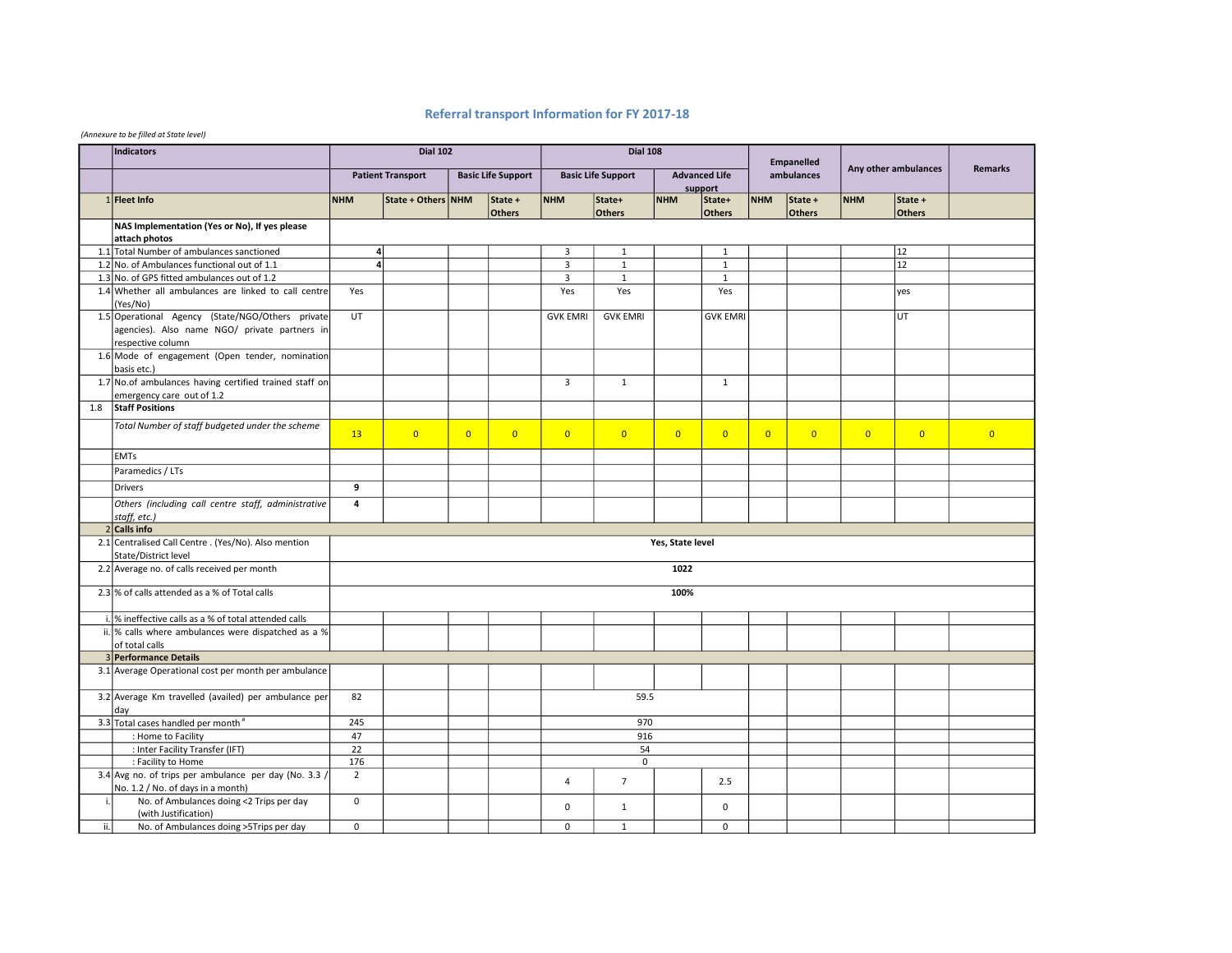## Referral transport Information for FY 2017-18

## (Annexure to be filled at State level)

|     | <b>Indicators</b>                                                             | <b>Dial 102</b>         |                          |                | <b>Dial 108</b>           |                 |                           |                  |                                 | <b>Empanelled</b> |                   |                      |                          |                |
|-----|-------------------------------------------------------------------------------|-------------------------|--------------------------|----------------|---------------------------|-----------------|---------------------------|------------------|---------------------------------|-------------------|-------------------|----------------------|--------------------------|----------------|
|     |                                                                               |                         | <b>Patient Transport</b> |                | <b>Basic Life Support</b> |                 | <b>Basic Life Support</b> |                  | <b>Advanced Life</b><br>support | ambulances        |                   | Any other ambulances |                          | <b>Remarks</b> |
|     | 1 Fleet Info                                                                  | <b>NHM</b>              | State + Others NHM       |                | State +<br><b>Others</b>  | <b>NHM</b>      | State+<br><b>Others</b>   | <b>NHM</b>       | State+<br><b>Others</b>         | <b>NHM</b>        | State +<br>Others | <b>NHM</b>           | State +<br><b>Others</b> |                |
|     | NAS Implementation (Yes or No), If yes please                                 |                         |                          |                |                           |                 |                           |                  |                                 |                   |                   |                      |                          |                |
|     | attach photos                                                                 |                         |                          |                |                           |                 |                           |                  |                                 |                   |                   |                      |                          |                |
|     | 1.1 Total Number of ambulances sanctioned                                     |                         | $\overline{4}$           |                |                           | $\overline{3}$  | $\mathbf{1}$              |                  | $\mathbf{1}$                    |                   |                   |                      | 12                       |                |
|     | 1.2 No. of Ambulances functional out of 1.1                                   |                         | $\overline{4}$           |                |                           | $\overline{3}$  | $\mathbf{1}$              |                  | $\mathbf{1}$                    |                   |                   |                      | 12                       |                |
|     | 1.3 No. of GPS fitted ambulances out of 1.2                                   |                         |                          |                |                           | $\overline{3}$  | $\mathbf{1}$              |                  | $\mathbf{1}$                    |                   |                   |                      |                          |                |
|     | 1.4 Whether all ambulances are linked to call centre<br>(Yes/No)              | Yes                     |                          |                |                           | Yes             | Yes                       |                  | Yes                             |                   |                   |                      | ves                      |                |
|     | 1.5 Operational Agency (State/NGO/Others private                              | <b>UT</b>               |                          |                |                           | <b>GVK EMRI</b> | <b>GVK EMRI</b>           |                  | <b>GVK EMRI</b>                 |                   |                   |                      | UT                       |                |
|     | agencies). Also name NGO/ private partners in                                 |                         |                          |                |                           |                 |                           |                  |                                 |                   |                   |                      |                          |                |
|     | respective column                                                             |                         |                          |                |                           |                 |                           |                  |                                 |                   |                   |                      |                          |                |
|     | 1.6 Mode of engagement (Open tender, nomination<br>basis etc.)                |                         |                          |                |                           |                 |                           |                  |                                 |                   |                   |                      |                          |                |
|     | 1.7 No.of ambulances having certified trained staff on                        |                         |                          |                |                           | $\overline{3}$  | $\mathbf{1}$              |                  | $\mathbf{1}$                    |                   |                   |                      |                          |                |
|     | emergency care out of 1.2                                                     |                         |                          |                |                           |                 |                           |                  |                                 |                   |                   |                      |                          |                |
| 1.8 | <b>Staff Positions</b>                                                        |                         |                          |                |                           |                 |                           |                  |                                 |                   |                   |                      |                          |                |
|     | Total Number of staff budgeted under the scheme                               | 13                      | $\overline{0}$           | $\overline{0}$ | $\overline{0}$            | $\overline{0}$  | $\overline{0}$            | $\overline{0}$   | $\overline{0}$                  | $\overline{0}$    | $\overline{0}$    | $\overline{0}$       | $\overline{0}$           | $\overline{0}$ |
|     | <b>EMTs</b>                                                                   |                         |                          |                |                           |                 |                           |                  |                                 |                   |                   |                      |                          |                |
|     | Paramedics / LTs                                                              |                         |                          |                |                           |                 |                           |                  |                                 |                   |                   |                      |                          |                |
|     | <b>Drivers</b>                                                                | 9                       |                          |                |                           |                 |                           |                  |                                 |                   |                   |                      |                          |                |
|     | Others (including call centre staff, administrative<br>staff, etc.)           | $\overline{\mathbf{4}}$ |                          |                |                           |                 |                           |                  |                                 |                   |                   |                      |                          |                |
|     | $2$ Calls info                                                                |                         |                          |                |                           |                 |                           |                  |                                 |                   |                   |                      |                          |                |
|     | 2.1 Centralised Call Centre . (Yes/No). Also mention                          |                         |                          |                |                           |                 |                           | Yes, State level |                                 |                   |                   |                      |                          |                |
|     | State/District level                                                          |                         |                          |                |                           |                 |                           |                  |                                 |                   |                   |                      |                          |                |
|     | 2.2 Average no. of calls received per month                                   |                         | 1022                     |                |                           |                 |                           |                  |                                 |                   |                   |                      |                          |                |
|     | 2.3 % of calls attended as a % of Total calls                                 |                         | 100%                     |                |                           |                 |                           |                  |                                 |                   |                   |                      |                          |                |
|     |                                                                               |                         |                          |                |                           |                 |                           |                  |                                 |                   |                   |                      |                          |                |
|     | i.  % ineffective calls as a % of total attended calls                        |                         |                          |                |                           |                 |                           |                  |                                 |                   |                   |                      |                          |                |
|     | ii.  % calls where ambulances were dispatched as a %                          |                         |                          |                |                           |                 |                           |                  |                                 |                   |                   |                      |                          |                |
|     | of total calls                                                                |                         |                          |                |                           |                 |                           |                  |                                 |                   |                   |                      |                          |                |
|     | 3 Performance Details                                                         |                         |                          |                |                           |                 |                           |                  |                                 |                   |                   |                      |                          |                |
|     | 3.1 Average Operational cost per month per ambulance                          |                         |                          |                |                           |                 |                           |                  |                                 |                   |                   |                      |                          |                |
|     | 3.2 Average Km travelled (availed) per ambulance per<br>day                   | 82                      |                          |                |                           |                 | 59.5                      |                  |                                 |                   |                   |                      |                          |                |
|     | 3.3 Total cases handled per month"                                            | 245                     |                          |                |                           |                 | 970                       |                  |                                 |                   |                   |                      |                          |                |
|     | : Home to Facility                                                            | 47                      |                          |                |                           | 916             |                           |                  |                                 |                   |                   |                      |                          |                |
|     | : Inter Facility Transfer (IFT)                                               | 22                      |                          |                |                           |                 | 54                        |                  |                                 |                   |                   |                      |                          |                |
|     | : Facility to Home                                                            | 176                     |                          |                |                           |                 | 0                         |                  |                                 |                   |                   |                      |                          |                |
|     | 3.4 Avg no. of trips per ambulance per day (No. 3.3 /                         | $\overline{2}$          |                          |                |                           | 4               | $\overline{7}$            |                  | 2.5                             |                   |                   |                      |                          |                |
|     | No. 1.2 / No. of days in a month)<br>No. of Ambulances doing <2 Trips per day | $\mathbf 0$             |                          |                |                           |                 |                           |                  |                                 |                   |                   |                      |                          |                |
|     | (with Justification)                                                          |                         |                          |                |                           | 0               | $\mathbf{1}$              |                  | $\mathbf 0$                     |                   |                   |                      |                          |                |
| ii. | No. of Ambulances doing >5Trips per day                                       | $\mathbf 0$             |                          |                |                           | $\mathbf 0$     | $\mathbf{1}$              |                  | $\mathbf 0$                     |                   |                   |                      |                          |                |